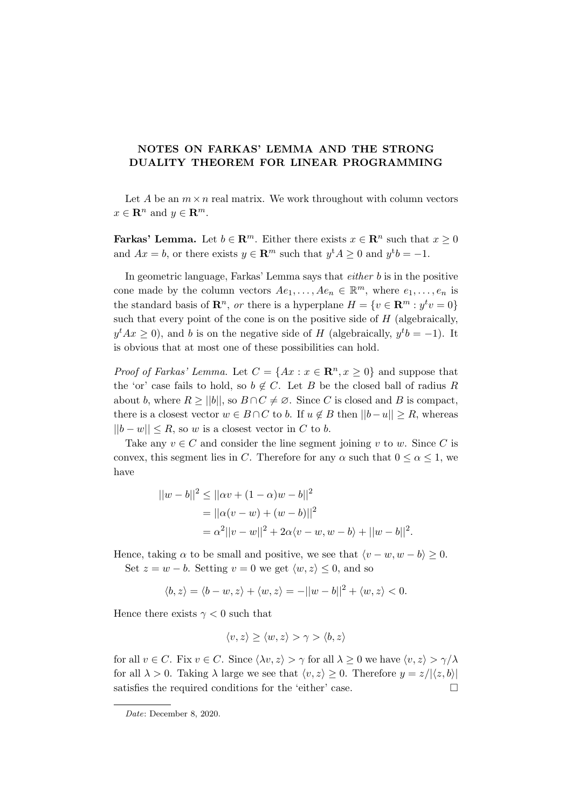## NOTES ON FARKAS' LEMMA AND THE STRONG DUALITY THEOREM FOR LINEAR PROGRAMMING

Let A be an  $m \times n$  real matrix. We work throughout with column vectors  $x \in \mathbf{R}^n$  and  $y \in \mathbf{R}^m$ .

**Farkas' Lemma.** Let  $b \in \mathbb{R}^m$ . Either there exists  $x \in \mathbb{R}^n$  such that  $x \geq 0$ and  $Ax = b$ , or there exists  $y \in \mathbb{R}^m$  such that  $y^t A \geq 0$  and  $y^t b = -1$ .

In geometric language, Farkas' Lemma says that either b is in the positive cone made by the column vectors  $Ae_1, \ldots, Ae_n \in \mathbb{R}^m$ , where  $e_1, \ldots, e_n$  is the standard basis of  $\mathbb{R}^n$ , or there is a hyperplane  $H = \{v \in \mathbb{R}^m : y^t v = 0\}$ such that every point of the cone is on the positive side of  $H$  (algebraically,  $y^t A x \geq 0$ , and b is on the negative side of H (algebraically,  $y^t b = -1$ ). It is obvious that at most one of these possibilities can hold.

*Proof of Farkas' Lemma.* Let  $C = \{Ax : x \in \mathbb{R}^n, x \ge 0\}$  and suppose that the 'or' case fails to hold, so  $b \notin C$ . Let B be the closed ball of radius R about b, where  $R \ge ||b||$ , so  $B \cap C \ne \emptyset$ . Since C is closed and B is compact, there is a closest vector  $w \in B \cap C$  to b. If  $u \notin B$  then  $||b-u|| \geq R$ , whereas  $||b - w|| \leq R$ , so w is a closest vector in C to b.

Take any  $v \in C$  and consider the line segment joining v to w. Since C is convex, this segment lies in C. Therefore for any  $\alpha$  such that  $0 \leq \alpha \leq 1$ , we have

$$
||w - b||2 \le ||\alpha v + (1 - \alpha)w - b||2
$$
  
=  $||\alpha(v - w) + (w - b)||2$   
=  $\alpha^{2}||v - w||2 + 2\alpha\langle v - w, w - b \rangle + ||w - b||2$ .

Hence, taking  $\alpha$  to be small and positive, we see that  $\langle v - w, w - b \rangle \geq 0$ . Set  $z = w - b$ . Setting  $v = 0$  we get  $\langle w, z \rangle \leq 0$ , and so

$$
\langle b, z \rangle = \langle b - w, z \rangle + \langle w, z \rangle = -||w - b||^2 + \langle w, z \rangle < 0.
$$

Hence there exists  $\gamma < 0$  such that

$$
\langle v, z \rangle \ge \langle w, z \rangle > \gamma > \langle b, z \rangle
$$

for all  $v \in C$ . Fix  $v \in C$ . Since  $\langle \lambda v, z \rangle > \gamma$  for all  $\lambda \geq 0$  we have  $\langle v, z \rangle > \gamma/\lambda$ for all  $\lambda > 0$ . Taking  $\lambda$  large we see that  $\langle v, z \rangle \geq 0$ . Therefore  $y = z/|\langle z, b \rangle|$ satisfies the required conditions for the 'either' case.  $\Box$ 

Date: December 8, 2020.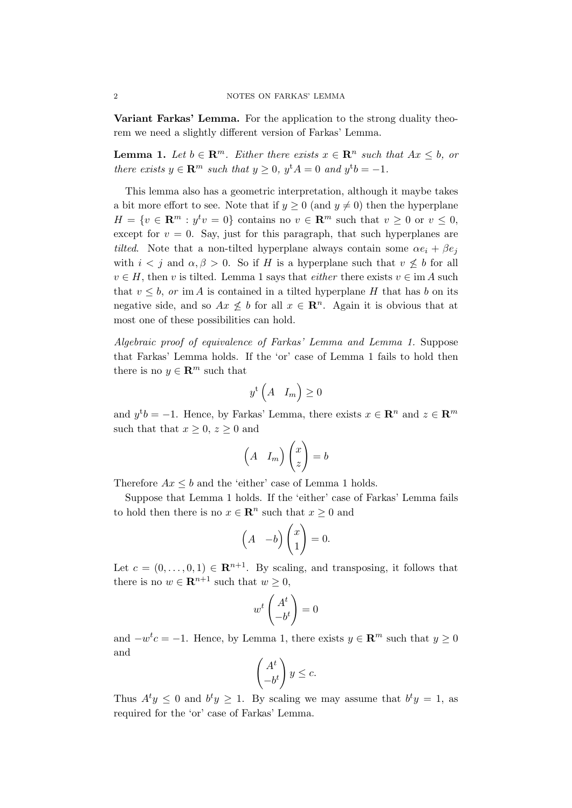Variant Farkas' Lemma. For the application to the strong duality theorem we need a slightly different version of Farkas' Lemma.

**Lemma 1.** Let  $b \in \mathbb{R}^m$ . Either there exists  $x \in \mathbb{R}^n$  such that  $Ax \leq b$ , or there exists  $y \in \mathbb{R}^m$  such that  $y \geq 0$ ,  $y^{\mathrm{t}}A = 0$  and  $y^{\mathrm{t}}b = -1$ .

This lemma also has a geometric interpretation, although it maybe takes a bit more effort to see. Note that if  $y \ge 0$  (and  $y \ne 0$ ) then the hyperplane  $H = \{v \in \mathbb{R}^m : y^t v = 0\}$  contains no  $v \in \mathbb{R}^m$  such that  $v \geq 0$  or  $v \leq 0$ , except for  $v = 0$ . Say, just for this paragraph, that such hyperplanes are tilted. Note that a non-tilted hyperplane always contain some  $\alpha e_i + \beta e_j$ with  $i < j$  and  $\alpha, \beta > 0$ . So if H is a hyperplane such that  $v \not\leq b$  for all  $v \in H$ , then v is tilted. Lemma 1 says that *either* there exists  $v \in \text{im } A$  such that  $v \leq b$ , or im A is contained in a tilted hyperplane H that has b on its negative side, and so  $Ax \leq b$  for all  $x \in \mathbb{R}^n$ . Again it is obvious that at most one of these possibilities can hold.

Algebraic proof of equivalence of Farkas' Lemma and Lemma 1. Suppose that Farkas' Lemma holds. If the 'or' case of Lemma 1 fails to hold then there is no  $y \in \mathbb{R}^m$  such that

$$
y^{\mathrm{t}}\left(A \quad I_m\right) \ge 0
$$

and  $y^t b = -1$ . Hence, by Farkas' Lemma, there exists  $x \in \mathbb{R}^n$  and  $z \in \mathbb{R}^m$ such that that  $x \geq 0$ ,  $z \geq 0$  and

$$
\begin{pmatrix} A & I_m \end{pmatrix} \begin{pmatrix} x \\ z \end{pmatrix} = b
$$

Therefore  $Ax \leq b$  and the 'either' case of Lemma 1 holds.

Suppose that Lemma 1 holds. If the 'either' case of Farkas' Lemma fails to hold then there is no  $x \in \mathbb{R}^n$  such that  $x \geq 0$  and

$$
\begin{pmatrix} A & -b \end{pmatrix} \begin{pmatrix} x \\ 1 \end{pmatrix} = 0.
$$

Let  $c = (0, \ldots, 0, 1) \in \mathbb{R}^{n+1}$ . By scaling, and transposing, it follows that there is no  $w \in \mathbf{R}^{n+1}$  such that  $w \geq 0$ ,

$$
w^t \begin{pmatrix} A^t \\ -b^t \end{pmatrix} = 0
$$

and  $-w<sup>t</sup>c = -1$ . Hence, by Lemma 1, there exists  $y \in \mathbb{R}^m$  such that  $y \ge 0$ and

$$
\begin{pmatrix} A^t \\ -b^t \end{pmatrix} y \le c.
$$

Thus  $A^t y \leq 0$  and  $b^t y \geq 1$ . By scaling we may assume that  $b^t y = 1$ , as required for the 'or' case of Farkas' Lemma.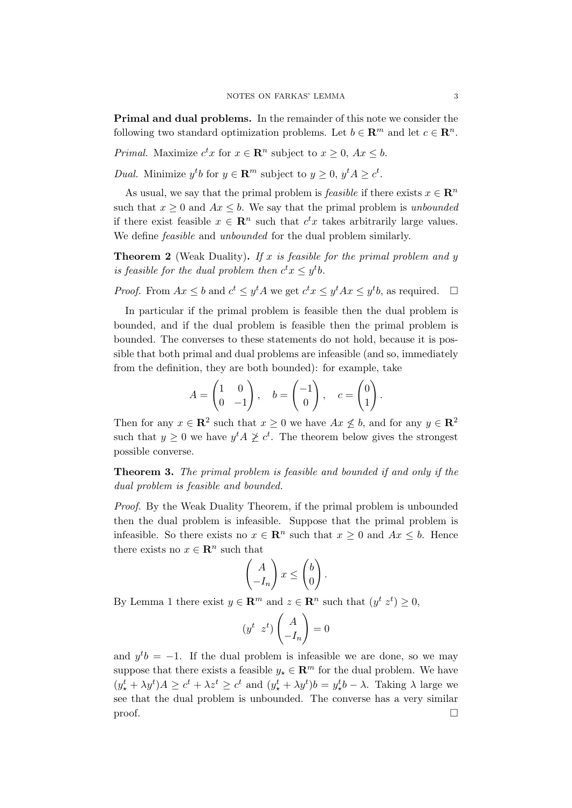Primal and dual problems. In the remainder of this note we consider the following two standard optimization problems. Let  $b \in \mathbb{R}^m$  and let  $c \in \mathbb{R}^n$ .

*Primal.* Maximize  $c^t x$  for  $x \in \mathbb{R}^n$  subject to  $x \geq 0$ ,  $Ax \leq b$ .

*Dual.* Minimize  $y^t b$  for  $y \in \mathbb{R}^m$  subject to  $y \geq 0$ ,  $y^t A \geq c^t$ .

As usual, we say that the primal problem is *feasible* if there exists  $x \in \mathbb{R}^n$ such that  $x \geq 0$  and  $Ax \leq b$ . We say that the primal problem is unbounded if there exist feasible  $x \in \mathbb{R}^n$  such that  $c^t x$  takes arbitrarily large values. We define *feasible* and *unbounded* for the dual problem similarly.

**Theorem 2** (Weak Duality). If x is feasible for the primal problem and y is feasible for the dual problem then  $c^t x \leq y^t b$ .

*Proof.* From  $Ax \leq b$  and  $c^t \leq y^t A$  we get  $c^t x \leq y^t A x \leq y^t b$ , as required.  $\Box$ 

In particular if the primal problem is feasible then the dual problem is bounded, and if the dual problem is feasible then the primal problem is bounded. The converses to these statements do not hold, because it is possible that both primal and dual problems are infeasible (and so, immediately from the definition, they are both bounded): for example, take

$$
A = \begin{pmatrix} 1 & 0 \\ 0 & -1 \end{pmatrix}, \quad b = \begin{pmatrix} -1 \\ 0 \end{pmatrix}, \quad c = \begin{pmatrix} 0 \\ 1 \end{pmatrix}.
$$

Then for any  $x \in \mathbb{R}^2$  such that  $x \geq 0$  we have  $Ax \not\leq b$ , and for any  $y \in \mathbb{R}^2$ such that  $y \geq 0$  we have  $y^t A \not\geq c^t$ . The theorem below gives the strongest possible converse.

Theorem 3. The primal problem is feasible and bounded if and only if the dual problem is feasible and bounded.

*Proof.* By the Weak Duality Theorem, if the primal problem is unbounded then the dual problem is infeasible. Suppose that the primal problem is infeasible. So there exists no  $x \in \mathbb{R}^n$  such that  $x \geq 0$  and  $Ax \leq b$ . Hence there exists no  $x \in \mathbb{R}^n$  such that

$$
\begin{pmatrix} A \\ -I_n \end{pmatrix} x \le \begin{pmatrix} b \\ 0 \end{pmatrix}.
$$

By Lemma 1 there exist  $y \in \mathbb{R}^m$  and  $z \in \mathbb{R}^n$  such that  $(y^t z^t) \geq 0$ ,

$$
(y^t \ z^t) \begin{pmatrix} A \\ -I_n \end{pmatrix} = 0
$$

and  $y^t b = -1$ . If the dual problem is infeasible we are done, so we may suppose that there exists a feasible  $y_* \in \mathbb{R}^m$  for the dual problem. We have  $(y_{\star}^t + \lambda y^t)A \geq c^t + \lambda z^t \geq c^t$  and  $(y_{\star}^t + \lambda y^t)b = y_{\star}^t b - \lambda$ . Taking  $\lambda$  large we see that the dual problem is unbounded. The converse has a very similar  $\Box$